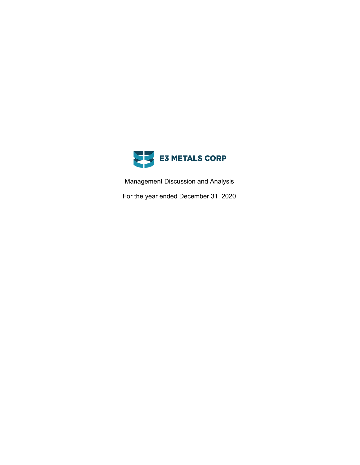

Management Discussion and Analysis

For the year ended December 31, 2020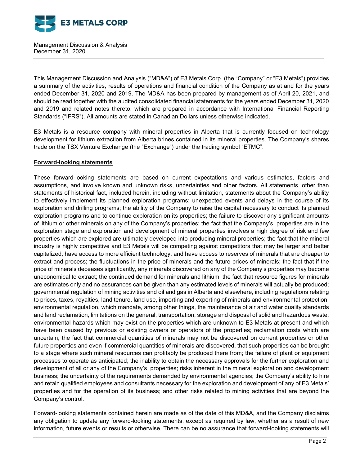

This Management Discussion and Analysis ("MD&A") of E3 Metals Corp. (the "Company" or "E3 Metals") provides a summary of the activities, results of operations and financial condition of the Company as at and for the years ended December 31, 2020 and 2019. The MD&A has been prepared by management as of April 20, 2021, and should be read together with the audited consolidated financial statements for the years ended December 31, 2020 and 2019 and related notes thereto, which are prepared in accordance with International Financial Reporting Standards ("IFRS"). All amounts are stated in Canadian Dollars unless otherwise indicated.

E3 Metals is a resource company with mineral properties in Alberta that is currently focused on technology development for lithium extraction from Alberta brines contained in its mineral properties. The Company's shares trade on the TSX Venture Exchange (the "Exchange") under the trading symbol "ETMC".

### **Forward-looking statements**

These forward-looking statements are based on current expectations and various estimates, factors and assumptions, and involve known and unknown risks, uncertainties and other factors. All statements, other than statements of historical fact, included herein, including without limitation, statements about the Company's ability to effectively implement its planned exploration programs; unexpected events and delays in the course of its exploration and drilling programs; the ability of the Company to raise the capital necessary to conduct its planned exploration programs and to continue exploration on its properties; the failure to discover any significant amounts of lithium or other minerals on any of the Company's properties; the fact that the Company's properties are in the exploration stage and exploration and development of mineral properties involves a high degree of risk and few properties which are explored are ultimately developed into producing mineral properties; the fact that the mineral industry is highly competitive and E3 Metals will be competing against competitors that may be larger and better capitalized, have access to more efficient technology, and have access to reserves of minerals that are cheaper to extract and process; the fluctuations in the price of minerals and the future prices of minerals; the fact that if the price of minerals deceases significantly, any minerals discovered on any of the Company's properties may become uneconomical to extract; the continued demand for minerals and lithium; the fact that resource figures for minerals are estimates only and no assurances can be given than any estimated levels of minerals will actually be produced; governmental regulation of mining activities and oil and gas in Alberta and elsewhere, including regulations relating to prices, taxes, royalties, land tenure, land use, importing and exporting of minerals and environmental protection; environmental regulation, which mandate, among other things, the maintenance of air and water quality standards and land reclamation, limitations on the general, transportation, storage and disposal of solid and hazardous waste; environmental hazards which may exist on the properties which are unknown to E3 Metals at present and which have been caused by previous or existing owners or operators of the properties; reclamation costs which are uncertain; the fact that commercial quantities of minerals may not be discovered on current properties or other future properties and even if commercial quantities of minerals are discovered, that such properties can be brought to a stage where such mineral resources can profitably be produced there from; the failure of plant or equipment processes to operate as anticipated; the inability to obtain the necessary approvals for the further exploration and development of all or any of the Company's properties; risks inherent in the mineral exploration and development business; the uncertainty of the requirements demanded by environmental agencies; the Company's ability to hire and retain qualified employees and consultants necessary for the exploration and development of any of E3 Metals' properties and for the operation of its business; and other risks related to mining activities that are beyond the Company's control.

Forward-looking statements contained herein are made as of the date of this MD&A, and the Company disclaims any obligation to update any forward-looking statements, except as required by law, whether as a result of new information, future events or results or otherwise. There can be no assurance that forward-looking statements will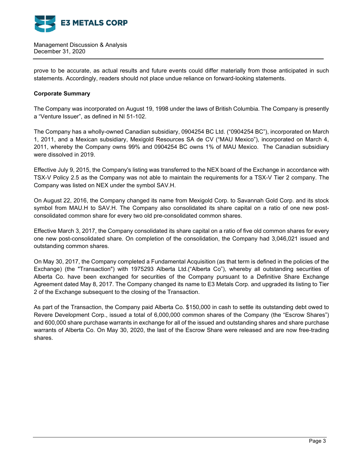

prove to be accurate, as actual results and future events could differ materially from those anticipated in such statements. Accordingly, readers should not place undue reliance on forward-looking statements.

## **Corporate Summary**

The Company was incorporated on August 19, 1998 under the laws of British Columbia. The Company is presently a "Venture Issuer", as defined in NI 51-102.

The Company has a wholly-owned Canadian subsidiary, 0904254 BC Ltd. ("0904254 BC"), incorporated on March 1, 2011, and a Mexican subsidiary, Mexigold Resources SA de CV ("MAU Mexico"), incorporated on March 4, 2011, whereby the Company owns 99% and 0904254 BC owns 1% of MAU Mexico. The Canadian subsidiary were dissolved in 2019.

Effective July 9, 2015, the Company's listing was transferred to the NEX board of the Exchange in accordance with TSX-V Policy 2.5 as the Company was not able to maintain the requirements for a TSX-V Tier 2 company. The Company was listed on NEX under the symbol SAV.H.

On August 22, 2016, the Company changed its name from Mexigold Corp. to Savannah Gold Corp. and its stock symbol from MAU.H to SAV.H. The Company also consolidated its share capital on a ratio of one new postconsolidated common share for every two old pre-consolidated common shares.

Effective March 3, 2017, the Company consolidated its share capital on a ratio of five old common shares for every one new post-consolidated share. On completion of the consolidation, the Company had 3,046,021 issued and outstanding common shares.

On May 30, 2017, the Company completed a Fundamental Acquisition (as that term is defined in the policies of the Exchange) (the "Transaction") with 1975293 Alberta Ltd.("Alberta Co"), whereby all outstanding securities of Alberta Co. have been exchanged for securities of the Company pursuant to a Definitive Share Exchange Agreement dated May 8, 2017. The Company changed its name to E3 Metals Corp. and upgraded its listing to Tier 2 of the Exchange subsequent to the closing of the Transaction.

As part of the Transaction, the Company paid Alberta Co. \$150,000 in cash to settle its outstanding debt owed to Revere Development Corp., issued a total of 6,000,000 common shares of the Company (the "Escrow Shares") and 600,000 share purchase warrants in exchange for all of the issued and outstanding shares and share purchase warrants of Alberta Co. On May 30, 2020, the last of the Escrow Share were released and are now free-trading shares.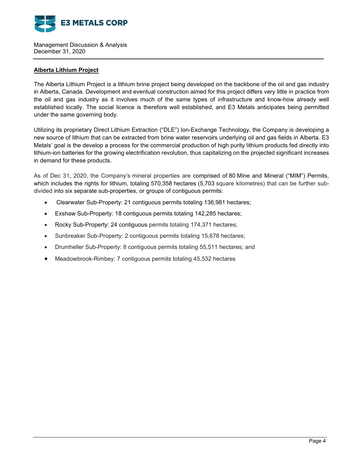

## **Alberta Lithium Project**

The Alberta Lithium Project is a lithium brine project being developed on the backbone of the oil and gas industry in Alberta, Canada. Development and eventual construction aimed for this project differs very little in practice from the oil and gas industry as it involves much of the same types of infrastructure and know-how already well established locally. The social licence is therefore well established, and E3 Metals anticipates being permitted under the same governing body.

Utilizing its proprietary Direct Lithium Extraction ("DLE") Ion-Exchange Technology, the Company is developing a new source of lithium that can be extracted from brine water reservoirs underlying oil and gas fields in Alberta. E3 Metals' goal is the develop a process for the commercial production of high purity lithium products fed directly into lithium-ion batteries for the growing electrification revolution, thus capitalizing on the projected significant increases in demand for these products.

As of Dec 31, 2020, the Company's mineral properties are comprised of 80 Mine and Mineral ("MIM") Permits, which includes the rights for lithium, totaling 570,358 hectares (5,703 square kilometres) that can be further subdivided into six separate sub-properties, or groups of contiguous permits:

- Clearwater Sub-Property: 21 contiguous permits totaling 136,981 hectares;
- Exshaw Sub-Property: 18 contiguous permits totaling 142,285 hectares;
- Rocky Sub-Property: 24 contiguous permits totaling 174,371 hectares;
- Sunbreaker Sub-Property: 2 contiguous permits totaling 15,678 hectares;
- Drumheller Sub-Property: 8 contiguous permits totaling 55,511 hectares; and
- Meadowbrook-Rimbey: 7 contiguous permits totaling 45,532 hectares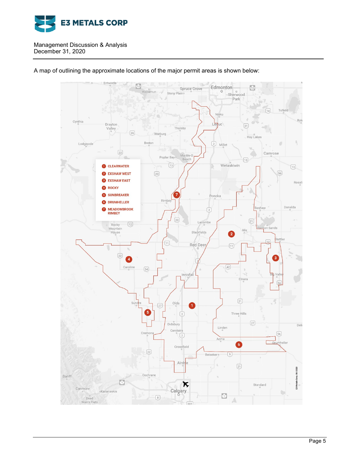



A map of outlining the approximate locations of the major permit areas is shown below: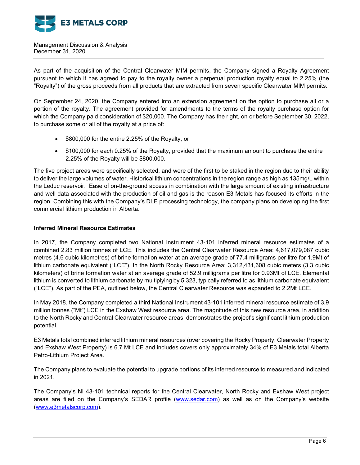

As part of the acquisition of the Central Clearwater MIM permits, the Company signed a Royalty Agreement pursuant to which it has agreed to pay to the royalty owner a perpetual production royalty equal to 2.25% (the "Royalty") of the gross proceeds from all products that are extracted from seven specific Clearwater MIM permits.

On September 24, 2020, the Company entered into an extension agreement on the option to purchase all or a portion of the royalty. The agreement provided for amendments to the terms of the royalty purchase option for which the Company paid consideration of \$20,000. The Company has the right, on or before September 30, 2022, to purchase some or all of the royalty at a price of:

- \$800,000 for the entire 2.25% of the Royalty, or
- \$100,000 for each 0.25% of the Royalty, provided that the maximum amount to purchase the entire 2.25% of the Royalty will be \$800,000.

The five project areas were specifically selected, and were of the first to be staked in the region due to their ability to deliver the large volumes of water. Historical lithium concentrations in the region range as high as 135mg/L within the Leduc reservoir. Ease of on-the-ground access in combination with the large amount of existing infrastructure and well data associated with the production of oil and gas is the reason E3 Metals has focused its efforts in the region. Combining this with the Company's DLE processing technology, the company plans on developing the first commercial lithium production in Alberta.

# **Inferred Mineral Resource Estimates**

In 2017, the Company completed two National Instrument 43-101 inferred mineral resource estimates of a combined 2.83 million tonnes of LCE. This includes the Central Clearwater Resource Area: 4,617,079,087 cubic metres (4.6 cubic kilometres) of brine formation water at an average grade of 77.4 milligrams per litre for 1.9Mt of lithium carbonate equivalent ("LCE"). In the North Rocky Resource Area: 3,312,431,608 cubic meters (3.3 cubic kilometers) of brine formation water at an average grade of 52.9 milligrams per litre for 0.93Mt of LCE. Elemental lithium is converted to lithium carbonate by multiplying by 5.323, typically referred to as lithium carbonate equivalent ("LCE"). As part of the PEA, outlined below, the Central Clearwater Resource was expanded to 2.2Mt LCE.

In May 2018, the Company completed a third National Instrument 43-101 inferred mineral resource estimate of 3.9 million tonnes ("Mt") LCE in the Exshaw West resource area. The magnitude of this new resource area, in addition to the North Rocky and Central Clearwater resource areas, demonstrates the project's significant lithium production potential.

E3 Metals total combined inferred lithium mineral resources (over covering the Rocky Property, Clearwater Property and Exshaw West Property) is 6.7 Mt LCE and includes covers only approximately 34% of E3 Metals total Alberta Petro-Lithium Project Area.

The Company plans to evaluate the potential to upgrade portions of its inferred resource to measured and indicated in 2021.

The Company's NI 43-101 technical reports for the Central Clearwater, North Rocky and Exshaw West project areas are filed on the Company's SEDAR profile (www.sedar.com) as well as on the Company's website (www.e3metalscorp.com).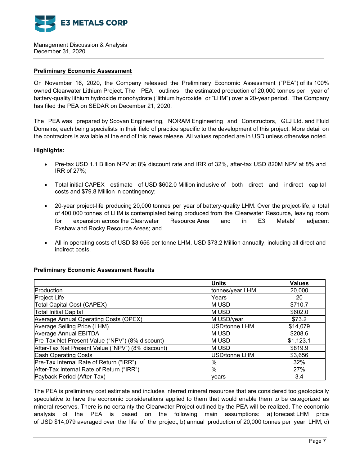

### **Preliminary Economic Assessment**

On November 16, 2020, the Company released the Preliminary Economic Assessment ("PEA") of its 100% owned Clearwater Lithium Project. The PEA outlines the estimated production of 20,000 tonnes per year of battery-quality lithium hydroxide monohydrate ("lithium hydroxide" or "LHM") over a 20-year period. The Company has filed the PEA on SEDAR on December 21, 2020.

The PEA was prepared by Scovan Engineering, NORAM Engineering and Constructors, GLJ Ltd. and Fluid Domains, each being specialists in their field of practice specific to the development of this project. More detail on the contractors is available at the end of this news release. All values reported are in USD unless otherwise noted.

### **Highlights:**

- Pre-tax USD 1.1 Billion NPV at 8% discount rate and IRR of 32%, after-tax USD 820M NPV at 8% and IRR of 27%;
- Total initial CAPEX estimate of USD \$602.0 Million inclusive of both direct and indirect capital costs and \$79.8 Million in contingency;
- 20-year project-life producing 20,000 tonnes per year of battery-quality LHM. Over the project-life, a total of 400,000 tonnes of LHM is contemplated being produced from the Clearwater Resource, leaving room for expansion across the Clearwater Resource Area and in E3 Metals' adjacent Exshaw and Rocky Resource Areas; and
- All-in operating costs of USD \$3,656 per tonne LHM, USD \$73.2 Million annually, including all direct and indirect costs.

### **Preliminary Economic Assessment Results**

|                                                   | <b>Units</b>    | <b>Values</b> |
|---------------------------------------------------|-----------------|---------------|
| Production                                        | tonnes/year LHM | 20,000        |
| <b>Project Life</b>                               | Years           | 20            |
| Total Capital Cost (CAPEX)                        | <b>MUSD</b>     | \$710.7       |
| <b>Total Initial Capital</b>                      | <b>MUSD</b>     | \$602.0       |
| Average Annual Operating Costs (OPEX)             | M USD/year      | \$73.2        |
| Average Selling Price (LHM)                       | USD/tonne LHM   | \$14,079      |
| <b>Average Annual EBITDA</b>                      | <b>MUSD</b>     | \$208.6       |
| Pre-Tax Net Present Value ("NPV") (8% discount)   | <b>MUSD</b>     | \$1,123.1     |
| After-Tax Net Present Value ("NPV") (8% discount) | <b>MUSD</b>     | \$819.9       |
| <b>Cash Operating Costs</b>                       | USD/tonne LHM   | \$3,656       |
| Pre-Tax Internal Rate of Return ("IRR")           | %               | 32%           |
| After-Tax Internal Rate of Return ("IRR")         | %               | 27%           |
| Payback Period (After-Tax)                        | vears           | 3.4           |

The PEA is preliminary cost estimate and includes inferred mineral resources that are considered too geologically speculative to have the economic considerations applied to them that would enable them to be categorized as mineral reserves. There is no certainty the Clearwater Project outlined by the PEA will be realized. The economic analysis of the PEA is based on the following main assumptions: a) forecast LHM price of USD \$14,079 averaged over the life of the project, b) annual production of 20,000 tonnes per year LHM, c)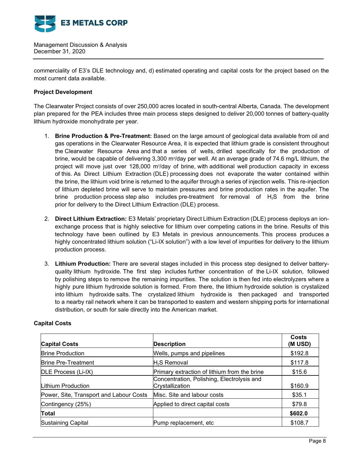

commerciality of E3's DLE technology and, d) estimated operating and capital costs for the project based on the most current data available.

## **Project Development**

The Clearwater Project consists of over 250,000 acres located in south-central Alberta, Canada. The development plan prepared for the PEA includes three main process steps designed to deliver 20,000 tonnes of battery-quality lithium hydroxide monohydrate per year.

- 1. **Brine Production & Pre-Treatment:** Based on the large amount of geological data available from oil and gas operations in the Clearwater Resource Area, it is expected that lithium grade is consistent throughout the Clearwater Resource Area and that a series of wells, drilled specifically for the production of brine, would be capable of delivering 3,300 m¾/day per well. At an average grade of 74.6 mg/L lithium, the project will move just over 128,000 m $\partial$ day of brine, with additional well production capacity in excess of this. As Direct Lithium Extraction (DLE) processing does not evaporate the water contained within the brine, the lithium void brine is returned to the aquifer through a series of injection wells. This re-injection of lithium depleted brine will serve to maintain pressures and brine production rates in the aquifer. The brine production process step also includes pre-treatment for removal of  $H_2S$  from the brine prior for delivery to the Direct Lithium Extraction (DLE) process.
- 2. **Direct Lithium Extraction:** E3 Metals' proprietary Direct Lithium Extraction (DLE) process deploys an ionexchange process that is highly selective for lithium over competing cations in the brine. Results of this technology have been outlined by E3 Metals in previous announcements. This process produces a highly concentrated lithium solution ("Li-IX solution") with a low level of impurities for delivery to the lithium production process.
- 3. **Lithium Production:** There are several stages included in this process step designed to deliver batteryquality lithium hydroxide. The first step includes further concentration of the Li-IX solution, followed by polishing steps to remove the remaining impurities. The solution is then fed into electrolyzers where a highly pure lithium hydroxide solution is formed. From there, the lithium hydroxide solution is crystalized into lithium hydroxide salts. The crystalized lithium hydroxide is then packaged and transported to a nearby rail network where it can be transported to eastern and western shipping ports for international distribution, or south for sale directly into the American market.

| <b>Capital Costs</b>                    | <b>Description</b>                                            | Costs<br>(M USD) |
|-----------------------------------------|---------------------------------------------------------------|------------------|
| <b>Brine Production</b>                 | Wells, pumps and pipelines                                    | \$192.8          |
| <b>Brine Pre-Treatment</b>              | $H2S$ Removal                                                 | \$117.8          |
| DLE Process (Li-IX)                     | Primary extraction of lithium from the brine                  | \$15.6           |
| Lithium Production                      | Concentration, Polishing, Electrolysis and<br>Crystallization | \$160.9          |
| Power, Site, Transport and Labour Costs | Misc. Site and labour costs                                   | \$35.1           |
| Contingency (25%)                       | Applied to direct capital costs                               | \$79.8           |
| Total                                   |                                                               | \$602.0          |
| <b>Sustaining Capital</b>               | Pump replacement, etc                                         | \$108.7          |

### **Capital Costs**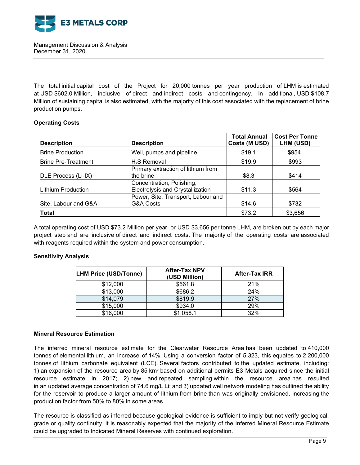

The total initial capital cost of the Project for 20,000 tonnes per year production of LHM is estimated at USD \$602.0 Million, inclusive of direct and indirect costs and contingency. In additional, USD \$108.7 Million of sustaining capital is also estimated, with the majority of this cost associated with the replacement of brine production pumps.

# **Operating Costs**

| <b>Description</b>         | <b>Description</b>                                            | <b>Total Annual</b><br>Costs (M USD) | <b>Cost Per Tonne</b><br>LHM (USD) |
|----------------------------|---------------------------------------------------------------|--------------------------------------|------------------------------------|
| <b>Brine Production</b>    | Well, pumps and pipeline                                      | \$19.1                               | \$954                              |
| <b>Brine Pre-Treatment</b> | $H_2S$ Removal                                                | \$19.9                               | \$993                              |
| DLE Process (Li-IX)        | Primary extraction of lithium from<br>the brine               | \$8.3                                | \$414                              |
| Lithium Production         | Concentration, Polishing,<br>Electrolysis and Crystallization | \$11.3                               | \$564                              |
| Site, Labour and G&A       | Power, Site, Transport, Labour and<br><b>G&amp;A Costs</b>    | \$14.6                               | \$732                              |
| <b>Total</b>               |                                                               | \$73.2                               | \$3,656                            |

A total operating cost of USD \$73.2 Million per year, or USD \$3,656 per tonne LHM, are broken out by each major project step and are inclusive of direct and indirect costs. The majority of the operating costs are associated with reagents required within the system and power consumption.

# **Sensitivity Analysis**

| <b>LHM Price (USD/Tonne)</b> | <b>After-Tax NPV</b><br>(USD Million) | <b>After-Tax IRR</b> |  |
|------------------------------|---------------------------------------|----------------------|--|
| \$12,000                     | \$561.8                               | 21%                  |  |
| \$13,000                     | \$686.2                               | 24%                  |  |
| \$14,079                     | \$819.9                               | 27%                  |  |
| \$15,000                     | \$934.0                               | 29%                  |  |
| \$16,000                     | \$1,058.1                             | 32%                  |  |

### **Mineral Resource Estimation**

The inferred mineral resource estimate for the Clearwater Resource Area has been updated to 410,000 tonnes of elemental lithium, an increase of 14%. Using a conversion factor of 5.323, this equates to 2,200,000 tonnes of lithium carbonate equivalent (LCE). Several factors contributed to the updated estimate, including: 1) an expansion of the resource area by 85 km2 based on additional permits E3 Metals acquired since the initial resource estimate in 2017; 2) new and repeated sampling within the resource area has resulted in an updated average concentration of 74.6 mg/L Li; and 3) updated well network modeling has outlined the ability for the reservoir to produce a larger amount of lithium from brine than was originally envisioned, increasing the production factor from 50% to 80% in some areas.

The resource is classified as inferred because geological evidence is sufficient to imply but not verify geological, grade or quality continuity. It is reasonably expected that the majority of the Inferred Mineral Resource Estimate could be upgraded to Indicated Mineral Reserves with continued exploration.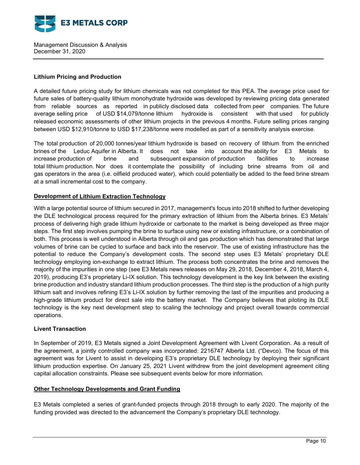

## **Lithium Pricing and Production**

A detailed future pricing study for lithium chemicals was not completed for this PEA. The average price used for future sales of battery-quality lithium monohydrate hydroxide was developed by reviewing pricing data generated from reliable sources as reported in publicly disclosed data collected from peer companies. The future average selling price of USD \$14,079/tonne lithium hydroxide is consistent with that used for publicly released economic assessments of other lithium projects in the previous 4 months. Future selling prices ranging between USD \$12,910/tonne to USD \$17,238/tonne were modelled as part of a sensitivity analysis exercise.

The total production of 20,000 tonnes/year lithium hydroxide is based on recovery of lithium from the enriched brines of the Leduc Aquifer in Alberta. It does not take into account the ability for E3 Metals to increase production of brine and subsequent expansion of production facilities to increase total lithium production. Nor does it contemplate the possibility of including brine streams from oil and gas operators in the area (i.e. oilfield produced water), which could potentially be added to the feed brine stream at a small incremental cost to the company.

# **Development of Lithium Extraction Technology**

With a large potential source of lithium secured in 2017, management's focus into 2018 shifted to further developing the DLE technological process required for the primary extraction of lithium from the Alberta brines. E3 Metals' process of delivering high grade lithium hydroxide or carbonate to the market is being developed as three major steps. The first step involves pumping the brine to surface using new or existing infrastructure, or a combination of both. This process is well understood in Alberta through oil and gas production which has demonstrated that large volumes of brine can be cycled to surface and back into the reservoir. The use of existing infrastructure has the potential to reduce the Company's development costs. The second step uses E3 Metals' proprietary DLE technology employing ion-exchange to extract lithium. The process both concentrates the brine and removes the majority of the impurities in one step (see E3 Metals news releases on May 29, 2018, December 4, 2018, March 4, 2019), producing E3's proprietary Li-IX solution. This technology development is the key link between the existing brine production and industry standard lithium production processes. The third step is the production of a high purity lithium salt and involves refining E3's Li-IX solution by further removing the last of the impurities and producing a high-grade lithium product for direct sale into the battery market. The Company believes that piloting its DLE technology is the key next development step to scaling the technology and project overall towards commercial operations.

# **Livent Transaction**

In September of 2019, E3 Metals signed a Joint Development Agreement with Livent Corporation. As a result of the agreement, a jointly controlled company was incorporated: 2216747 Alberta Ltd. ("Devco). The focus of this agreement was for Livent to assist in developing E3's proprietary DLE technology by deploying their significant lithium production expertise. On January 25, 2021 Livent withdrew from the joint development agreement citing capital allocation constraints. Please see subsequent events below for more information.

# **Other Technology Developments and Grant Funding**

E3 Metals completed a series of grant-funded projects through 2018 through to early 2020. The majority of the funding provided was directed to the advancement the Company's proprietary DLE technology.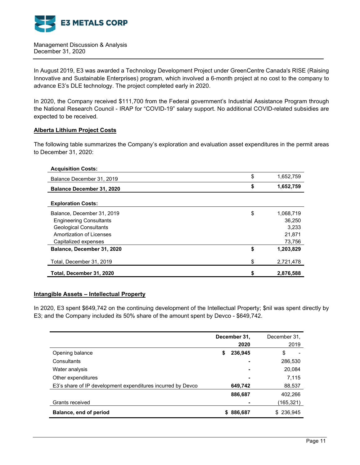

In August 2019, E3 was awarded a Technology Development Project under GreenCentre Canada's RISE (Raising Innovative and Sustainable Enterprises) program, which involved a 6-month project at no cost to the company to advance E3's DLE technology. The project completed early in 2020.

In 2020, the Company received \$111,700 from the Federal government's Industrial Assistance Program through the National Research Council - IRAP for "COVID-19" salary support. No additional COVID-related subsidies are expected to be received.

### **Alberta Lithium Project Costs**

The following table summarizes the Company's exploration and evaluation asset expenditures in the permit areas to December 31, 2020:

| <b>Acquisition Costs:</b>        |                 |
|----------------------------------|-----------------|
| Balance December 31, 2019        | \$<br>1,652,759 |
| <b>Balance December 31, 2020</b> | \$<br>1,652,759 |
|                                  |                 |
| <b>Exploration Costs:</b>        |                 |
| Balance, December 31, 2019       | \$<br>1,068,719 |
| <b>Engineering Consultants</b>   | 36.250          |
| <b>Geological Consultants</b>    | 3.233           |
| Amortization of Licenses         | 21,871          |
| Capitalized expenses             | 73,756          |
| Balance, December 31, 2020       | \$<br>1,203,829 |
| Total, December 31, 2019         | \$<br>2,721,478 |
| Total, December 31, 2020         | \$<br>2,876,588 |

### **Intangible Assets – Intellectual Property**

In 2020, E3 spent \$649,742 on the continuing development of the Intellectual Property; \$nil was spent directly by E3; and the Company included its 50% share of the amount spent by Devco - \$649,742.

|                                                             | December 31,<br>2020 | December 31.<br>2019 |
|-------------------------------------------------------------|----------------------|----------------------|
| Opening balance                                             | 236,945<br>\$        | \$                   |
| Consultants                                                 | ۰                    | 286,530              |
| Water analysis                                              | ٠                    | 20,084               |
| Other expenditures                                          | ٠                    | 7,115                |
| E3's share of IP development expenditures incurred by Devco | 649,742              | 88,537               |
|                                                             | 886,687              | 402,266              |
| Grants received                                             |                      | (165,321)            |
| Balance, end of period                                      | \$886,687            | \$236,945            |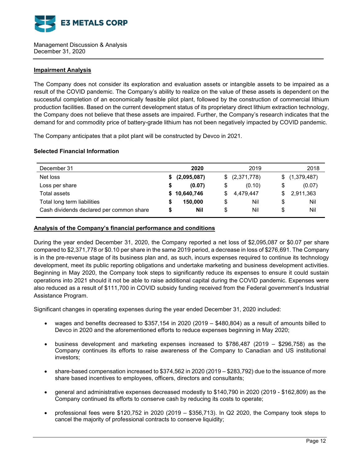

### **Impairment Analysis**

The Company does not consider its exploration and evaluation assets or intangible assets to be impaired as a result of the COVID pandemic. The Company's ability to realize on the value of these assets is dependent on the successful completion of an economically feasible pilot plant, followed by the construction of commercial lithium production facilities. Based on the current development status of its proprietary direct lithium extraction technology, the Company does not believe that these assets are impaired. Further, the Company's research indicates that the demand for and commodity price of battery-grade lithium has not been negatively impacted by COVID pandemic.

The Company anticipates that a pilot plant will be constructed by Devco in 2021.

### **Selected Financial Information**

| December 31                              | 2020           | 2019            | 2018          |
|------------------------------------------|----------------|-----------------|---------------|
| Net loss                                 | \$ (2,095,087) | \$ (2,371,778)  | \$(1,379,487) |
| Loss per share                           | (0.07)         | (0.10)<br>S     | (0.07)<br>\$  |
| Total assets                             | \$10,640,746   | 4.479.447<br>S. | 2,911,363     |
| Total long term liabilities              | 150,000        | Nil<br>\$       | Nil<br>\$     |
| Cash dividends declared per common share | Nil            | Nil<br>S        | Nil<br>\$     |

### **Analysis of the Company's financial performance and conditions**

During the year ended December 31, 2020, the Company reported a net loss of \$2,095,087 or \$0.07 per share compared to \$2,371,778 or \$0.10 per share in the same 2019 period, a decrease in loss of \$276,691. The Company is in the pre-revenue stage of its business plan and, as such, incurs expenses required to continue its technology development, meet its public reporting obligations and undertake marketing and business development activities. Beginning in May 2020, the Company took steps to significantly reduce its expenses to ensure it could sustain operations into 2021 should it not be able to raise additional capital during the COVID pandemic. Expenses were also reduced as a result of \$111,700 in COVID subsidy funding received from the Federal government's Industrial Assistance Program.

Significant changes in operating expenses during the year ended December 31, 2020 included:

- wages and benefits decreased to \$357,154 in 2020 (2019 \$480,804) as a result of amounts billed to Devco in 2020 and the aforementioned efforts to reduce expenses beginning in May 2020;
- business development and marketing expenses increased to \$786,487 (2019 \$296,758) as the Company continues its efforts to raise awareness of the Company to Canadian and US institutional investors;
- share-based compensation increased to \$374,562 in 2020 (2019 \$283,792) due to the issuance of more share based incentives to employees, officers, directors and consultants;
- general and administrative expenses decreased modestly to \$140,790 in 2020 (2019 \$162,809) as the Company continued its efforts to conserve cash by reducing its costs to operate;
- professional fees were \$120,752 in 2020 (2019 \$356,713). In Q2 2020, the Company took steps to cancel the majority of professional contracts to conserve liquidity;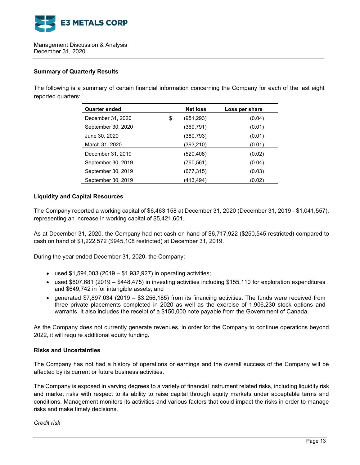

### **Summary of Quarterly Results**

The following is a summary of certain financial information concerning the Company for each of the last eight reported quarters:

| <b>Quarter ended</b> | <b>Net loss</b>  | Loss per share |
|----------------------|------------------|----------------|
| December 31, 2020    | \$<br>(951, 293) | (0.04)         |
| September 30, 2020   | (369, 791)       | (0.01)         |
| June 30, 2020        | (380,793)        | (0.01)         |
| March 31, 2020       | (393,210)        | (0.01)         |
| December 31, 2019    | (520,408)        | (0.02)         |
| September 30, 2019   | (760, 561)       | (0.04)         |
| September 30, 2019   | (677, 315)       | (0.03)         |
| September 30, 2019   | (413,494)        | (0.02)         |

### **Liquidity and Capital Resources**

The Company reported a working capital of \$6,463,158 at December 31, 2020 (December 31, 2019 - \$1,041,557), representing an increase in working capital of \$5,421,601.

As at December 31, 2020, the Company had net cash on hand of \$6,717,922 (\$250,545 restricted) compared to cash on hand of \$1,222,572 (\$945,108 restricted) at December 31, 2019.

During the year ended December 31, 2020, the Company:

- used  $$1,594,003$  (2019  $$1,932,927$ ) in operating activities;
- used \$807,681 (2019 \$448,475) in investing activities including \$155,110 for exploration expenditures and \$649,742 in for intangible assets; and
- generated \$7,897,034 (2019 \$3,256,185) from its financing activities. The funds were received from three private placements completed in 2020 as well as the exercise of 1,906,230 stock options and warrants. It also includes the receipt of a \$150,000 note payable from the Government of Canada.

As the Company does not currently generate revenues, in order for the Company to continue operations beyond 2022, it will require additional equity funding.

### **Risks and Uncertainties**

The Company has not had a history of operations or earnings and the overall success of the Company will be affected by its current or future business activities.

The Company is exposed in varying degrees to a variety of financial instrument related risks, including liquidity risk and market risks with respect to its ability to raise capital through equity markets under acceptable terms and conditions. Management monitors its activities and various factors that could impact the risks in order to manage risks and make timely decisions.

*Credit risk*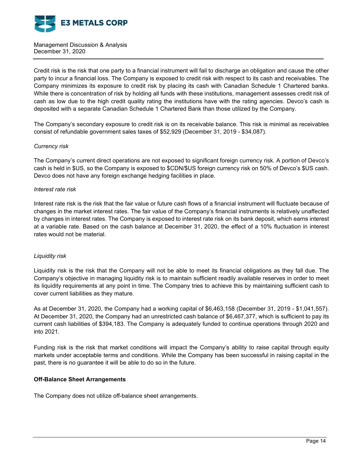

Credit risk is the risk that one party to a financial instrument will fail to discharge an obligation and cause the other party to incur a financial loss. The Company is exposed to credit risk with respect to its cash and receivables. The Company minimizes its exposure to credit risk by placing its cash with Canadian Schedule 1 Chartered banks. While there is concentration of risk by holding all funds with these institutions, management assesses credit risk of cash as low due to the high credit quality rating the institutions have with the rating agencies. Devco's cash is deposited with a separate Canadian Schedule 1 Chartered Bank than those utilized by the Company.

The Company's secondary exposure to credit risk is on its receivable balance. This risk is minimal as receivables consist of refundable government sales taxes of \$52,929 (December 31, 2019 - \$34,087).

### *Currency risk*

The Company's current direct operations are not exposed to significant foreign currency risk. A portion of Devco's cash is held in \$US, so the Company is exposed to \$CDN/\$US foreign currency risk on 50% of Devco's \$US cash. Devco does not have any foreign exchange hedging facilities in place.

### *Interest rate risk*

Interest rate risk is the risk that the fair value or future cash flows of a financial instrument will fluctuate because of changes in the market interest rates. The fair value of the Company's financial instruments is relatively unaffected by changes in interest rates. The Company is exposed to interest rate risk on its bank deposit, which earns interest at a variable rate. Based on the cash balance at December 31, 2020, the effect of a 10% fluctuation in interest rates would not be material.

### *Liquidity risk*

Liquidity risk is the risk that the Company will not be able to meet its financial obligations as they fall due. The Company's objective in managing liquidity risk is to maintain sufficient readily available reserves in order to meet its liquidity requirements at any point in time. The Company tries to achieve this by maintaining sufficient cash to cover current liabilities as they mature.

As at December 31, 2020, the Company had a working capital of \$6,463,158 (December 31, 2019 - \$1,041,557). At December 31, 2020, the Company had an unrestricted cash balance of \$6,467,377, which is sufficient to pay its current cash liabilities of \$394,183. The Company is adequately funded to continue operations through 2020 and into 2021.

Funding risk is the risk that market conditions will impact the Company's ability to raise capital through equity markets under acceptable terms and conditions. While the Company has been successful in raising capital in the past, there is no guarantee it will be able to do so in the future.

# **Off-Balance Sheet Arrangements**

The Company does not utilize off-balance sheet arrangements.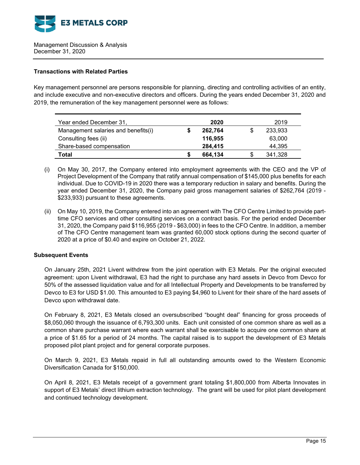

## **Transactions with Related Parties**

Key management personnel are persons responsible for planning, directing and controlling activities of an entity, and include executive and non-executive directors and officers. During the years ended December 31, 2020 and 2019, the remuneration of the key management personnel were as follows:

| Year ended December 31,             |   | 2020    |   | 2019    |
|-------------------------------------|---|---------|---|---------|
| Management salaries and benefits(i) |   | 262,764 |   | 233,933 |
| Consulting fees (ii)                |   | 116,955 |   | 63,000  |
| Share-based compensation            |   | 284,415 |   | 44,395  |
| Total                               | S | 664.134 | S | 341,328 |

- (i) On May 30, 2017, the Company entered into employment agreements with the CEO and the VP of Project Development of the Company that ratify annual compensation of \$145,000 plus benefits for each individual. Due to COVID-19 in 2020 there was a temporary reduction in salary and benefits. During the year ended December 31, 2020, the Company paid gross management salaries of \$262,764 (2019 - \$233,933) pursuant to these agreements.
- (ii) On May 10, 2019, the Company entered into an agreement with The CFO Centre Limited to provide parttime CFO services and other consulting services on a contract basis. For the period ended December 31, 2020, the Company paid \$116,955 (2019 - \$63,000) in fees to the CFO Centre. In addition, a member of The CFO Centre management team was granted 60,000 stock options during the second quarter of 2020 at a price of \$0.40 and expire on October 21, 2022.

### **Subsequent Events**

On January 25th, 2021 Livent withdrew from the joint operation with E3 Metals. Per the original executed agreement: upon Livent withdrawal, E3 had the right to purchase any hard assets in Devco from Devco for 50% of the assessed liquidation value and for all Intellectual Property and Developments to be transferred by Devco to E3 for USD \$1.00. This amounted to E3 paying \$4,960 to Livent for their share of the hard assets of Devco upon withdrawal date.

On February 8, 2021, E3 Metals closed an oversubscribed "bought deal" financing for gross proceeds of \$8,050,060 through the issuance of 6,793,300 units. Each unit consisted of one common share as well as a common share purchase warrant where each warrant shall be exercisable to acquire one common share at a price of \$1.65 for a period of 24 months. The capital raised is to support the development of E3 Metals proposed pilot plant project and for general corporate purposes.

On March 9, 2021, E3 Metals repaid in full all outstanding amounts owed to the Western Economic Diversification Canada for \$150,000.

On April 8, 2021, E3 Metals receipt of a government grant totaling \$1,800,000 from Alberta Innovates in support of E3 Metals' direct lithium extraction technology. The grant will be used for pilot plant development and continued technology development.